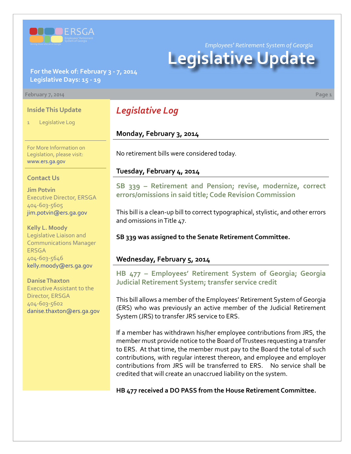

**For the Week of: February 3 - 7, 2014 Legislative Days: 15 - 19**

#### **February 7, 2014 Page 1**

#### **Inside This Update**

Legislative Log

For More Information on Legislation, please visit: [www.ers.ga.gov](http://www.ers.ga.gov/default.aspx)

#### **Contact Us**

**Jim Potvin** Executive Director, ERSGA 404-603-5605 jim.potvin@ers.ga.gov

**Kelly L. Moody** Legislative Liaison and Communications Manager **ERSGA** 404-603-5646 kelly.moody@ers.ga.gov

**Danise Thaxton** Executive Assistant to the Director, ERSGA 404-603-5602 danise.thaxton@ers.ga.gov

# *Legislative Log*

**Monday, February 3, 2014**

No retirement bills were considered today.

#### **Tuesday, February 4, 2014**

**S[B 339 –](http://www.legis.ga.gov/legislation/en-US/Display/20132014/SB/339) Retirement and Pension; revise, modernize, correct errors/omissions in said title; Code Revision Commission**

This bill is a clean-up bill to correct typographical, stylistic, and other errors and omissions in Title 47.

**SB 339 was assigned to the Senate Retirement Committee.**

#### **Wednesday, February 5, 2014**

**HB [477 –](http://www.legis.ga.gov/legislation/en-US/Display/20132014/HB/477) Employees' Retirement System of Georgia; Georgia Judicial Retirement System; transfer service credit**

This bill allows a member of the Employees' Retirement System of Georgia (ERS) who was previously an active member of the Judicial Retirement System (JRS) to transfer JRS service to ERS.

If a member has withdrawn his/her employee contributions from JRS, the member must provide notice to the Board of Trustees requesting a transfer to ERS. At that time, the member must pay to the Board the total of such contributions, with regular interest thereon, and employee and employer contributions from JRS will be transferred to ERS. No service shall be credited that will create an unaccrued liability on the system.

**HB 477 received a DO PASS from the House Retirement Committee.**

*Employees' Retirement System of Georgia*

# **Legislative Update**